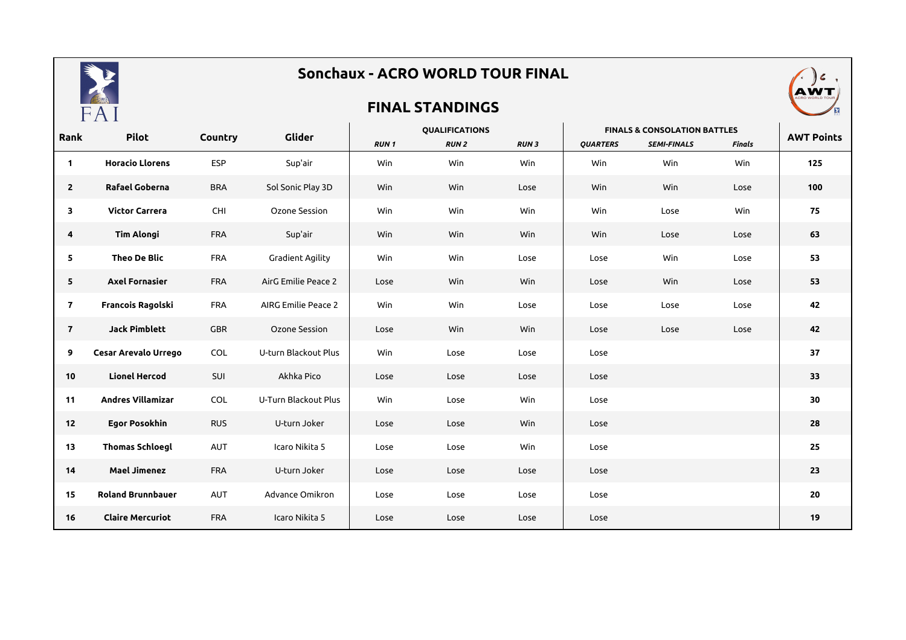

## **Sonchaux - ACRO WORLD TOUR FINAL**

## **FINAL STANDINGS**



| Rank           | <b>Pilot</b>             | Country    | Glider                     | <b>QUALIFICATIONS</b> |             |             | <b>FINALS &amp; CONSOLATION BATTLES</b> |                    |        |                   |
|----------------|--------------------------|------------|----------------------------|-----------------------|-------------|-------------|-----------------------------------------|--------------------|--------|-------------------|
|                |                          |            |                            | <b>RUN1</b>           | <b>RUN2</b> | <b>RUN3</b> | <b>QUARTERS</b>                         | <b>SEMI-FINALS</b> | Finals | <b>AWT Points</b> |
| $\mathbf{1}$   | <b>Horacio Llorens</b>   | <b>ESP</b> | Sup'air                    | Win                   | Win         | Win         | Win                                     | Win                | Win    | 125               |
| $\overline{2}$ | Rafael Goberna           | <b>BRA</b> | Sol Sonic Play 3D          | Win                   | Win         | Lose        | Win                                     | Win                | Lose   | 100               |
| 3              | <b>Victor Carrera</b>    | CHI        | Ozone Session              | Win                   | Win         | Win         | Win                                     | Lose               | Win    | 75                |
| 4              | <b>Tim Alongi</b>        | <b>FRA</b> | Sup'air                    | Win                   | Win         | Win         | Win                                     | Lose               | Lose   | 63                |
| 5              | Theo De Blic             | <b>FRA</b> | <b>Gradient Agility</b>    | Win                   | Win         | Lose        | Lose                                    | Win                | Lose   | 53                |
| 5              | <b>Axel Fornasier</b>    | <b>FRA</b> | AirG Emilie Peace 2        | Lose                  | Win         | Win         | Lose                                    | Win                | Lose   | 53                |
| $\mathbf{7}$   | Francois Ragolski        | <b>FRA</b> | <b>AIRG Emilie Peace 2</b> | Win                   | Win         | Lose        | Lose                                    | Lose               | Lose   | 42                |
| $\overline{7}$ | <b>Jack Pimblett</b>     | <b>GBR</b> | Ozone Session              | Lose                  | Win         | Win         | Lose                                    | Lose               | Lose   | 42                |
| 9              | Cesar Arevalo Urrego     | COL        | U-turn Blackout Plus       | Win                   | Lose        | Lose        | Lose                                    |                    |        | 37                |
| 10             | <b>Lionel Hercod</b>     | SUI        | Akhka Pico                 | Lose                  | Lose        | Lose        | Lose                                    |                    |        | 33                |
| 11             | <b>Andres Villamizar</b> | COL        | U-Turn Blackout Plus       | Win                   | Lose        | Win         | Lose                                    |                    |        | 30                |
| 12             | <b>Egor Posokhin</b>     | <b>RUS</b> | U-turn Joker               | Lose                  | Lose        | Win         | Lose                                    |                    |        | 28                |
| 13             | <b>Thomas Schloegl</b>   | AUT        | Icaro Nikita 5             | Lose                  | Lose        | Win         | Lose                                    |                    |        | 25                |
| 14             | <b>Mael Jimenez</b>      | <b>FRA</b> | U-turn Joker               | Lose                  | Lose        | Lose        | Lose                                    |                    |        | 23                |
| 15             | <b>Roland Brunnbauer</b> | AUT        | Advance Omikron            | Lose                  | Lose        | Lose        | Lose                                    |                    |        | 20                |
| 16             | <b>Claire Mercuriot</b>  | <b>FRA</b> | Icaro Nikita 5             | Lose                  | Lose        | Lose        | Lose                                    |                    |        | 19                |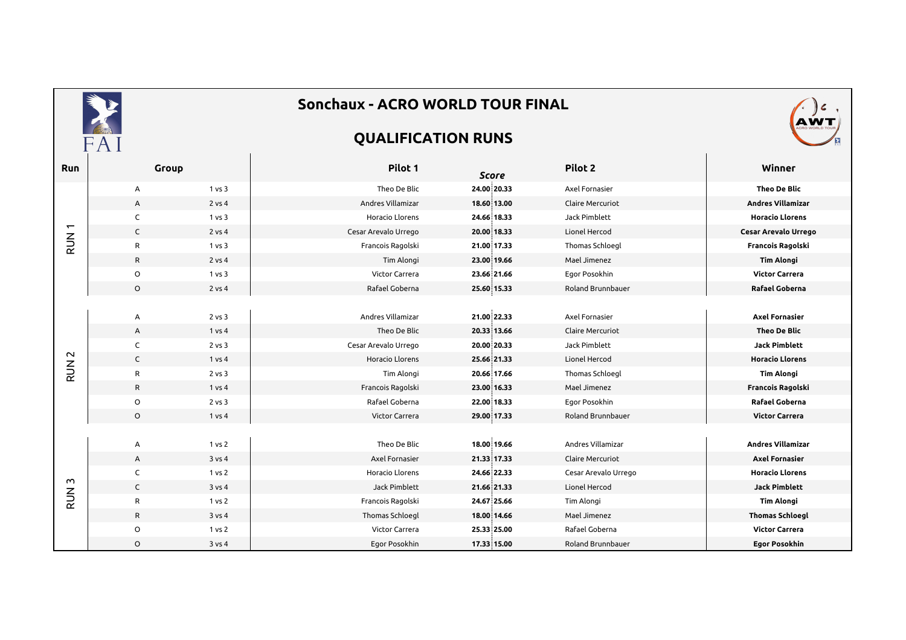|                              |              |        | Sonchaux - ACRO WORLD TOUR FINAL |              |                         |                          |
|------------------------------|--------------|--------|----------------------------------|--------------|-------------------------|--------------------------|
|                              | FAI          |        | <b>QUALIFICATION RUNS</b>        |              |                         |                          |
| Run                          | Group        |        | Pilot 1                          | <b>Score</b> | Pilot 2                 | Winner                   |
| $\overline{ }$<br><b>NUR</b> | Α            | 1 vs 3 | Theo De Blic                     | 24.00 20.33  | Axel Fornasier          | <b>Theo De Blic</b>      |
|                              | A            | 2 vs 4 | Andres Villamizar                | 18.60 13.00  | <b>Claire Mercuriot</b> | <b>Andres Villamizar</b> |
|                              | C            | 1 vs 3 | Horacio Llorens                  | 24.66 18.33  | Jack Pimblett           | <b>Horacio Llorens</b>   |
|                              | $\mathsf{C}$ | 2 vs 4 | Cesar Arevalo Urrego             | 20.00 18.33  | Lionel Hercod           | Cesar Arevalo Urrego     |
|                              | R            | 1 vs 3 | Francois Ragolski                | 21.00 17.33  | Thomas Schloegl         | Francois Ragolski        |
|                              | $\mathsf{R}$ | 2 vs 4 | Tim Alongi                       | 23.00 19.66  | Mael Jimenez            | <b>Tim Alongi</b>        |
|                              | O            | 1 vs 3 | Victor Carrera                   | 23.66 21.66  | Egor Posokhin           | <b>Victor Carrera</b>    |
|                              | $\circ$      | 2 vs 4 | Rafael Goberna                   | 25.60 15.33  | Roland Brunnbauer       | Rafael Goberna           |
|                              |              |        |                                  |              |                         |                          |
|                              | Α            | 2 vs 3 | Andres Villamizar                | 21.00 22.33  | Axel Fornasier          | <b>Axel Fornasier</b>    |
|                              | A            | 1 vs 4 | Theo De Blic                     | 20.33 13.66  | Claire Mercuriot        | Theo De Blic             |
|                              | C            | 2 vs 3 | Cesar Arevalo Urrego             | 20.00 20.33  | Jack Pimblett           | <b>Jack Pimblett</b>     |
| $\sim$                       | $\mathsf{C}$ | 1 vs 4 | Horacio Llorens                  | 25.66 21.33  | Lionel Hercod           | <b>Horacio Llorens</b>   |
| <b>RUN</b>                   | R            | 2 vs 3 | Tim Alongi                       | 20.66 17.66  | Thomas Schloegl         | <b>Tim Alongi</b>        |
|                              | R            | 1 vs 4 | Francois Ragolski                | 23.00 16.33  | Mael Jimenez            | Francois Ragolski        |
|                              | $\circ$      | 2 vs 3 | Rafael Goberna                   | 22.00 18.33  | Egor Posokhin           | Rafael Goberna           |
|                              | $\circ$      | 1 vs 4 | Victor Carrera                   | 29.00 17.33  | Roland Brunnbauer       | <b>Victor Carrera</b>    |
|                              |              |        |                                  |              |                         |                          |
|                              | Α            | 1 vs 2 | Theo De Blic                     | 18.00 19.66  | Andres Villamizar       | <b>Andres Villamizar</b> |
| $\sim$<br><b>NUR</b>         | A            | 3 vs 4 | Axel Fornasier                   | 21.33 17.33  | Claire Mercuriot        | <b>Axel Fornasier</b>    |
|                              | C            | 1 vs 2 | Horacio Llorens                  | 24.66 22.33  | Cesar Arevalo Urrego    | <b>Horacio Llorens</b>   |
|                              | $\mathsf{C}$ | 3 vs 4 | Jack Pimblett                    | 21.66 21.33  | Lionel Hercod           | <b>Jack Pimblett</b>     |
|                              | $\mathsf{R}$ | 1 vs 2 | Francois Ragolski                | 24.67 25.66  | Tim Alongi              | <b>Tim Alongi</b>        |
|                              | $\mathsf{R}$ | 3 vs 4 | Thomas Schloegl                  | 18.00 14.66  | Mael Jimenez            | <b>Thomas Schloegl</b>   |
|                              | O            | 1 vs 2 | Victor Carrera                   | 25.33 25.00  | Rafael Goberna          | <b>Victor Carrera</b>    |
|                              | $\circ$      | 3 vs 4 | Egor Posokhin                    | 17.33 15.00  | Roland Brunnbauer       | <b>Egor Posokhin</b>     |